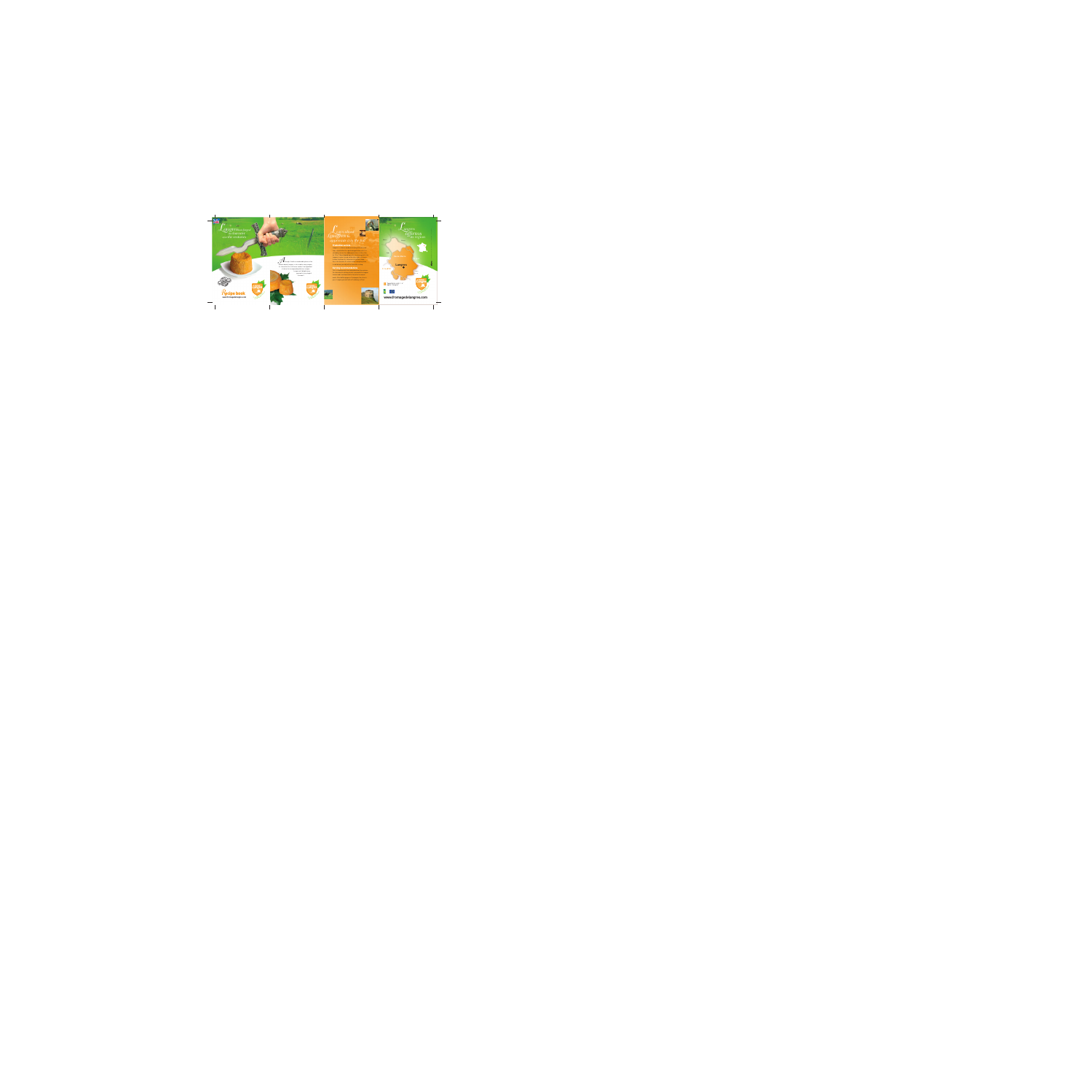





*A*lthough it holds an undeniable place on the cheese board, Langres is also used in many recipes. Its characteristic rich flavour makes it an ingredient of choice for incomparably delicious recipes. Langres will delight every

gourmet at any stage of the meal!

## *Learn about Langres to appreciate it to the full L* angres<sub>has forged angres and the carn about</sub>

Marne Meuse

### **Production secrets**

Langres is a cheese made exclusively with milk from cows raised within the specified appellation area. It is refined by successive rubbing operations in the cellar, for 15 to 21 days depending on its size, during which the Langres is never turned, unlike other types of cheese. In time it achieves its characteristic hollow shape: this is the fountain. Its colour varies from pale yellow to red-brown, possibly with a fine white coating.

### **Serving recommendations**



This is a tradition which has come down over the centuries. For characteristic refining, alcohol is poured in the Langres fountain and it can then be left in the cellar for several weeks. Marc de Bourgogne or Champagne, the choice is yours. Langres goes well with a Chardonnay or Pinot.



*Langres*

*affirms*

RCS BESANCON 438 810 285 - www.staccato.fr - crédits photos : Charles Choffet

*its region*



Haute-Sa ne

Haute-Marne

C te-d'Or





**Langres**

*angres has forged its character over the centuries*



ZN